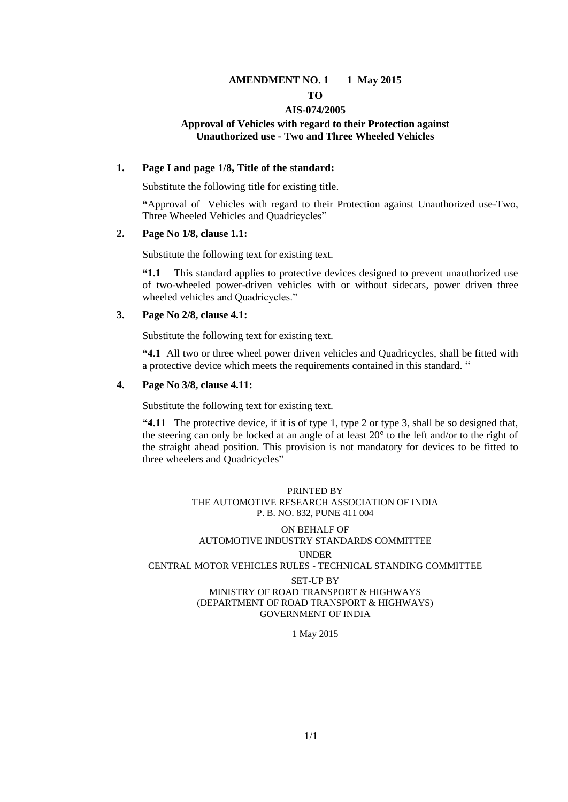#### **AMENDMENT NO. 1 1 May 2015 TO**

#### **AIS-074/2005**

#### **Approval of Vehicles with regard to their Protection against Unauthorized use - Two and Three Wheeled Vehicles**

#### **1. Page I and page 1/8, Title of the standard:**

Substitute the following title for existing title.

**"**Approval of Vehicles with regard to their Protection against Unauthorized use-Two, Three Wheeled Vehicles and Quadricycles"

#### **2. Page No 1/8, clause 1.1:**

Substitute the following text for existing text.

**"1.1** This standard applies to protective devices designed to prevent unauthorized use of two-wheeled power-driven vehicles with or without sidecars, power driven three wheeled vehicles and Quadricycles."

#### **3. Page No 2/8, clause 4.1:**

Substitute the following text for existing text.

**"4.1** All two or three wheel power driven vehicles and Quadricycles, shall be fitted with a protective device which meets the requirements contained in this standard. "

#### **4. Page No 3/8, clause 4.11:**

Substitute the following text for existing text.

**"4.11** The protective device, if it is of type 1, type 2 or type 3, shall be so designed that, the steering can only be locked at an angle of at least 20° to the left and/or to the right of the straight ahead position. This provision is not mandatory for devices to be fitted to three wheelers and Quadricycles"

#### PRINTED BY THE AUTOMOTIVE RESEARCH ASSOCIATION OF INDIA P. B. NO. 832, PUNE 411 004

#### ON BEHALF OF AUTOMOTIVE INDUSTRY STANDARDS COMMITTEE

#### UNDER

CENTRAL MOTOR VEHICLES RULES - TECHNICAL STANDING COMMITTEE

#### SET-UP BY

MINISTRY OF ROAD TRANSPORT & HIGHWAYS (DEPARTMENT OF ROAD TRANSPORT & HIGHWAYS) GOVERNMENT OF INDIA

1 May 2015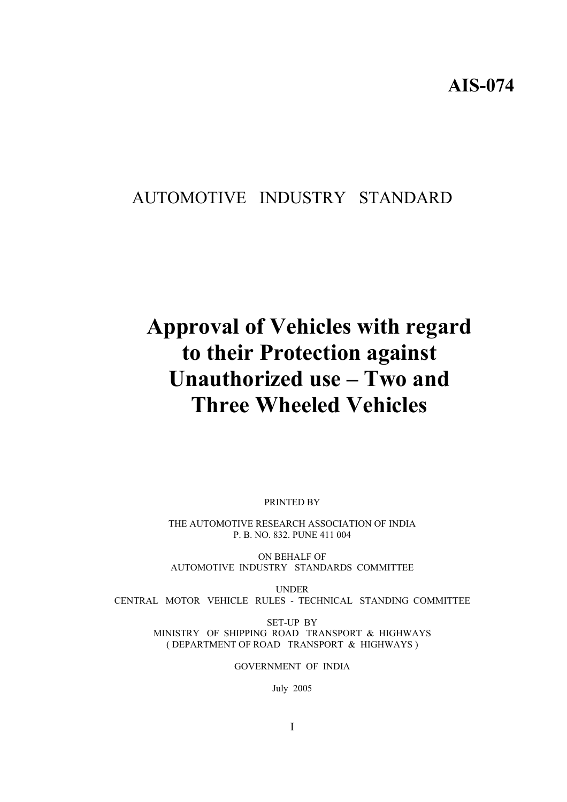# AUTOMOTIVE INDUSTRY STANDARD

# **Approval of Vehicles with regard to their Protection against Unauthorized use – Two and Three Wheeled Vehicles**

PRINTED BY

THE AUTOMOTIVE RESEARCH ASSOCIATION OF INDIA P. B. NO. 832. PUNE 411 004

ON BEHALF OF AUTOMOTIVE INDUSTRY STANDARDS COMMITTEE

UNDER CENTRAL MOTOR VEHICLE RULES - TECHNICAL STANDING COMMITTEE

> SET-UP BY MINISTRY OF SHIPPING ROAD TRANSPORT & HIGHWAYS ( DEPARTMENT OF ROAD TRANSPORT & HIGHWAYS )

> > GOVERNMENT OF INDIA

July 2005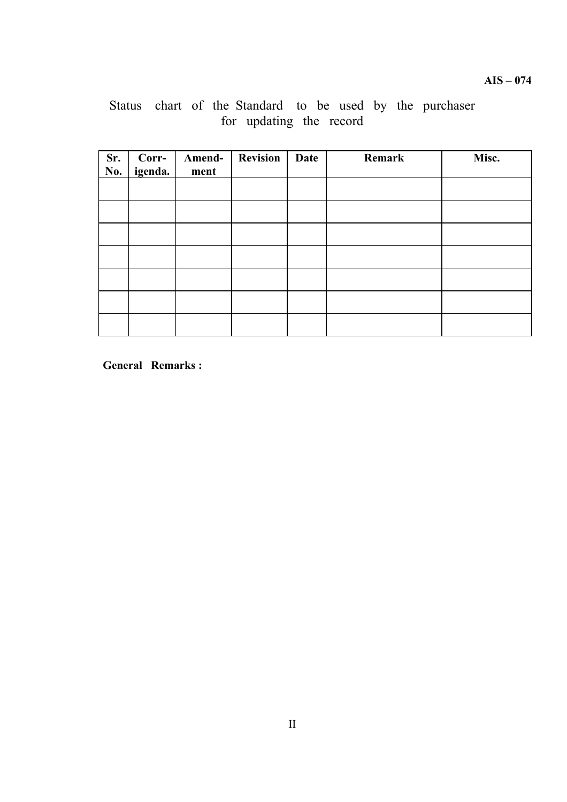# Status chart of the Standard to be used by the purchaser for updating the record

| Sr.<br>No. | Corr-<br>igenda. | Amend-<br>ment | <b>Revision</b> | Date | Remark | Misc. |
|------------|------------------|----------------|-----------------|------|--------|-------|
|            |                  |                |                 |      |        |       |
|            |                  |                |                 |      |        |       |
|            |                  |                |                 |      |        |       |
|            |                  |                |                 |      |        |       |
|            |                  |                |                 |      |        |       |
|            |                  |                |                 |      |        |       |
|            |                  |                |                 |      |        |       |

**General Remarks :**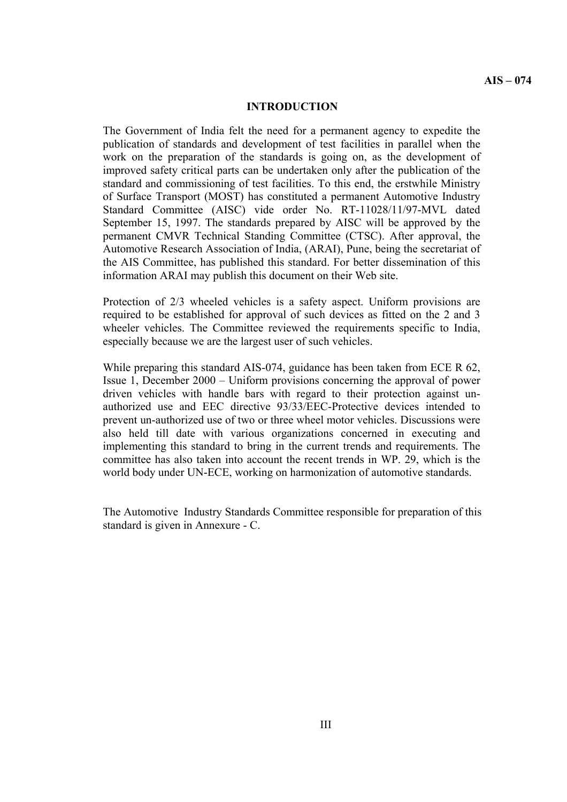#### **INTRODUCTION**

The Government of India felt the need for a permanent agency to expedite the publication of standards and development of test facilities in parallel when the work on the preparation of the standards is going on, as the development of improved safety critical parts can be undertaken only after the publication of the standard and commissioning of test facilities. To this end, the erstwhile Ministry of Surface Transport (MOST) has constituted a permanent Automotive Industry Standard Committee (AISC) vide order No. RT-11028/11/97-MVL dated September 15, 1997. The standards prepared by AISC will be approved by the permanent CMVR Technical Standing Committee (CTSC). After approval, the Automotive Research Association of India, (ARAI), Pune, being the secretariat of the AIS Committee, has published this standard. For better dissemination of this information ARAI may publish this document on their Web site.

Protection of 2/3 wheeled vehicles is a safety aspect. Uniform provisions are required to be established for approval of such devices as fitted on the 2 and 3 wheeler vehicles. The Committee reviewed the requirements specific to India, especially because we are the largest user of such vehicles.

While preparing this standard AIS-074, guidance has been taken from ECE R 62, Issue 1, December 2000 – Uniform provisions concerning the approval of power driven vehicles with handle bars with regard to their protection against unauthorized use and EEC directive 93/33/EEC-Protective devices intended to prevent un-authorized use of two or three wheel motor vehicles. Discussions were also held till date with various organizations concerned in executing and implementing this standard to bring in the current trends and requirements. The committee has also taken into account the recent trends in WP. 29, which is the world body under UN-ECE, working on harmonization of automotive standards.

The Automotive Industry Standards Committee responsible for preparation of this standard is given in Annexure - C.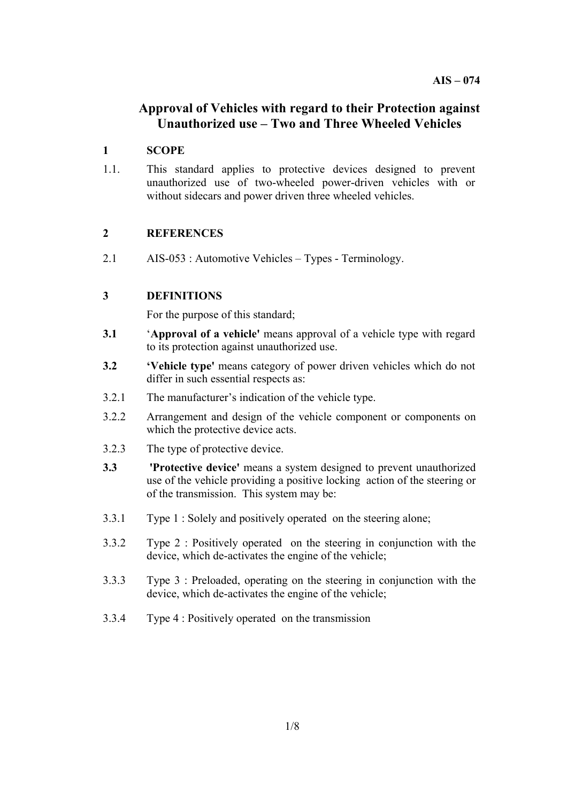# **Approval of Vehicles with regard to their Protection against Unauthorized use – Two and Three Wheeled Vehicles**

# **1 SCOPE**

1.1. This standard applies to protective devices designed to prevent unauthorized use of two-wheeled power-driven vehicles with or without sidecars and power driven three wheeled vehicles.

# **2 REFERENCES**

2.1 AIS-053 : Automotive Vehicles – Types - Terminology.

# **3 DEFINITIONS**

For the purpose of this standard;

- **3.1 'Approval of a vehicle'** means approval of a vehicle type with regard to its protection against unauthorized use.
- **3.2 'Vehicle type'** means category of power driven vehicles which do not differ in such essential respects as:
- 3.2.1 The manufacturer's indication of the vehicle type.
- 3.2.2 Arrangement and design of the vehicle component or components on which the protective device acts.
- 3.2.3 The type of protective device.
- **3.3 'Protective device'** means a system designed to prevent unauthorized use of the vehicle providing a positive locking action of the steering or of the transmission. This system may be:
- 3.3.1 Type 1 : Solely and positively operated on the steering alone;
- 3.3.2 Type 2 : Positively operated on the steering in conjunction with the device, which de-activates the engine of the vehicle;
- 3.3.3 Type 3 : Preloaded, operating on the steering in conjunction with the device, which de-activates the engine of the vehicle;
- 3.3.4 Type 4 : Positively operated on the transmission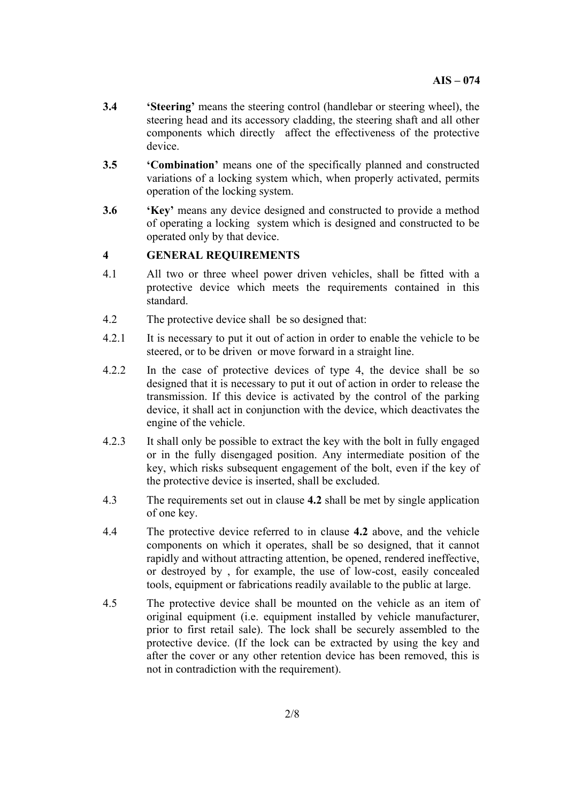- **3.4 'Steering'** means the steering control (handlebar or steering wheel), the steering head and its accessory cladding, the steering shaft and all other components which directly affect the effectiveness of the protective device.
- **3.5 'Combination'** means one of the specifically planned and constructed variations of a locking system which, when properly activated, permits operation of the locking system.
- **3.6 'Key'** means any device designed and constructed to provide a method of operating a locking system which is designed and constructed to be operated only by that device.

### **4 GENERAL REQUIREMENTS**

- 4.1 All two or three wheel power driven vehicles, shall be fitted with a protective device which meets the requirements contained in this standard.
- 4.2 The protective device shall be so designed that:
- 4.2.1 It is necessary to put it out of action in order to enable the vehicle to be steered, or to be driven or move forward in a straight line.
- 4.2.2 In the case of protective devices of type 4, the device shall be so designed that it is necessary to put it out of action in order to release the transmission. If this device is activated by the control of the parking device, it shall act in conjunction with the device, which deactivates the engine of the vehicle.
- 4.2.3 It shall only be possible to extract the key with the bolt in fully engaged or in the fully disengaged position. Any intermediate position of the key, which risks subsequent engagement of the bolt, even if the key of the protective device is inserted, shall be excluded.
- 4.3 The requirements set out in clause **4.2** shall be met by single application of one key.
- 4.4 The protective device referred to in clause **4.2** above, and the vehicle components on which it operates, shall be so designed, that it cannot rapidly and without attracting attention, be opened, rendered ineffective, or destroyed by , for example, the use of low-cost, easily concealed tools, equipment or fabrications readily available to the public at large.
- 4.5 The protective device shall be mounted on the vehicle as an item of original equipment (i.e. equipment installed by vehicle manufacturer, prior to first retail sale). The lock shall be securely assembled to the protective device. (If the lock can be extracted by using the key and after the cover or any other retention device has been removed, this is not in contradiction with the requirement).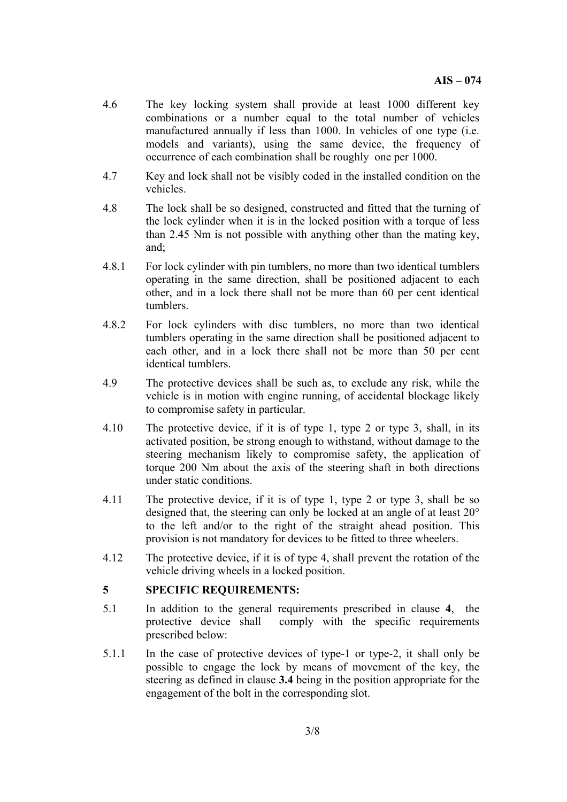- 4.6 The key locking system shall provide at least 1000 different key combinations or a number equal to the total number of vehicles manufactured annually if less than 1000. In vehicles of one type (i.e. models and variants), using the same device, the frequency of occurrence of each combination shall be roughly one per 1000.
- 4.7 Key and lock shall not be visibly coded in the installed condition on the vehicles.
- 4.8 The lock shall be so designed, constructed and fitted that the turning of the lock cylinder when it is in the locked position with a torque of less than 2.45 Nm is not possible with anything other than the mating key, and;
- 4.8.1 For lock cylinder with pin tumblers, no more than two identical tumblers operating in the same direction, shall be positioned adjacent to each other, and in a lock there shall not be more than 60 per cent identical tumblers.
- 4.8.2 For lock cylinders with disc tumblers, no more than two identical tumblers operating in the same direction shall be positioned adjacent to each other, and in a lock there shall not be more than 50 per cent identical tumblers.
- 4.9 The protective devices shall be such as, to exclude any risk, while the vehicle is in motion with engine running, of accidental blockage likely to compromise safety in particular.
- 4.10 The protective device, if it is of type 1, type 2 or type 3, shall, in its activated position, be strong enough to withstand, without damage to the steering mechanism likely to compromise safety, the application of torque 200 Nm about the axis of the steering shaft in both directions under static conditions.
- 4.11 The protective device, if it is of type 1, type 2 or type 3, shall be so designed that, the steering can only be locked at an angle of at least 20° to the left and/or to the right of the straight ahead position. This provision is not mandatory for devices to be fitted to three wheelers.
- 4.12 The protective device, if it is of type 4, shall prevent the rotation of the vehicle driving wheels in a locked position.

#### **5 SPECIFIC REQUIREMENTS:**

- 5.1 In addition to the general requirements prescribed in clause **4**, the protective device shall comply with the specific requirements prescribed below:
- 5.1.1 In the case of protective devices of type-1 or type-2, it shall only be possible to engage the lock by means of movement of the key, the steering as defined in clause **3.4** being in the position appropriate for the engagement of the bolt in the corresponding slot.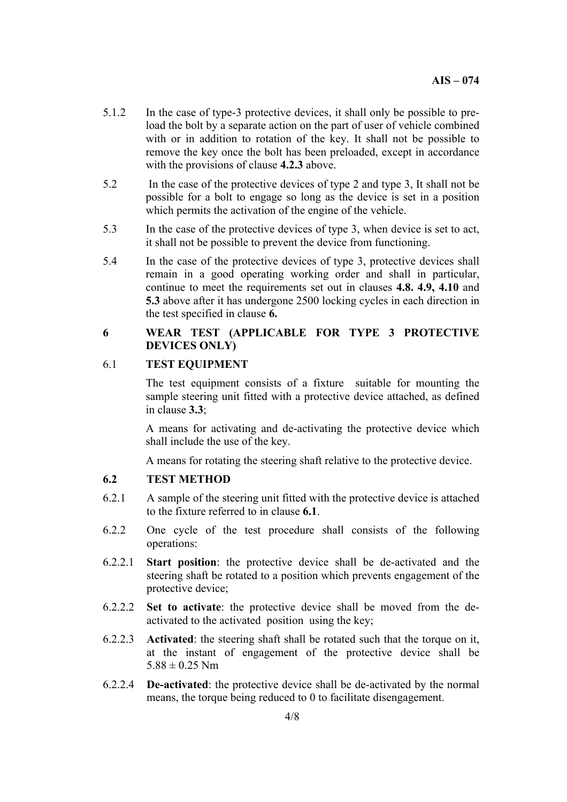- 5.1.2 In the case of type-3 protective devices, it shall only be possible to preload the bolt by a separate action on the part of user of vehicle combined with or in addition to rotation of the key. It shall not be possible to remove the key once the bolt has been preloaded, except in accordance with the provisions of clause **4.2.3** above.
- 5.2 In the case of the protective devices of type 2 and type 3, It shall not be possible for a bolt to engage so long as the device is set in a position which permits the activation of the engine of the vehicle.
- 5.3 In the case of the protective devices of type 3, when device is set to act, it shall not be possible to prevent the device from functioning.
- 5.4 In the case of the protective devices of type 3, protective devices shall remain in a good operating working order and shall in particular, continue to meet the requirements set out in clauses **4.8. 4.9, 4.10** and **5.3** above after it has undergone 2500 locking cycles in each direction in the test specified in clause **6.**

#### **6 WEAR TEST (APPLICABLE FOR TYPE 3 PROTECTIVE DEVICES ONLY)**

## 6.1 **TEST EQUIPMENT**

The test equipment consists of a fixture suitable for mounting the sample steering unit fitted with a protective device attached, as defined in clause **3.3**;

A means for activating and de-activating the protective device which shall include the use of the key.

A means for rotating the steering shaft relative to the protective device.

#### **6.2 TEST METHOD**

- 6.2.1 A sample of the steering unit fitted with the protective device is attached to the fixture referred to in clause **6.1**.
- 6.2.2 One cycle of the test procedure shall consists of the following operations:
- 6.2.2.1 **Start position**: the protective device shall be de-activated and the steering shaft be rotated to a position which prevents engagement of the protective device;
- 6.2.2.2 **Set to activate**: the protective device shall be moved from the deactivated to the activated position using the key;
- 6.2.2.3 **Activated**: the steering shaft shall be rotated such that the torque on it, at the instant of engagement of the protective device shall be  $5.88 \pm 0.25$  Nm
- 6.2.2.4 **De-activated**: the protective device shall be de-activated by the normal means, the torque being reduced to 0 to facilitate disengagement.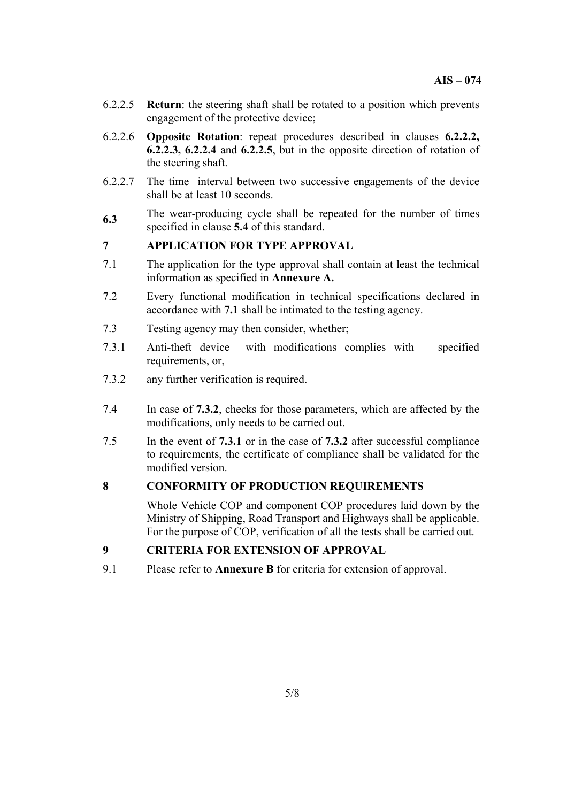- 6.2.2.5 **Return**: the steering shaft shall be rotated to a position which prevents engagement of the protective device;
- 6.2.2.6 **Opposite Rotation**: repeat procedures described in clauses **6.2.2.2, 6.2.2.3, 6.2.2.4** and **6.2.2.5**, but in the opposite direction of rotation of the steering shaft.
- 6.2.2.7 The time interval between two successive engagements of the device shall be at least 10 seconds.
- **6.3**  The wear-producing cycle shall be repeated for the number of times specified in clause **5.4** of this standard.

# **7 APPLICATION FOR TYPE APPROVAL**

- 7.1 The application for the type approval shall contain at least the technical information as specified in **Annexure A.**
- 7.2 Every functional modification in technical specifications declared in accordance with **7.1** shall be intimated to the testing agency.
- 7.3 Testing agency may then consider, whether;
- 7.3.1 Anti-theft device with modifications complies with specified requirements, or,
- 7.3.2 any further verification is required.
- 7.4 In case of **7.3.2**, checks for those parameters, which are affected by the modifications, only needs to be carried out.
- 7.5 In the event of **7.3.1** or in the case of **7.3.2** after successful compliance to requirements, the certificate of compliance shall be validated for the modified version.

#### **8 CONFORMITY OF PRODUCTION REQUIREMENTS**

Whole Vehicle COP and component COP procedures laid down by the Ministry of Shipping, Road Transport and Highways shall be applicable. For the purpose of COP, verification of all the tests shall be carried out.

# **9 CRITERIA FOR EXTENSION OF APPROVAL**

9.1 Please refer to **Annexure B** for criteria for extension of approval.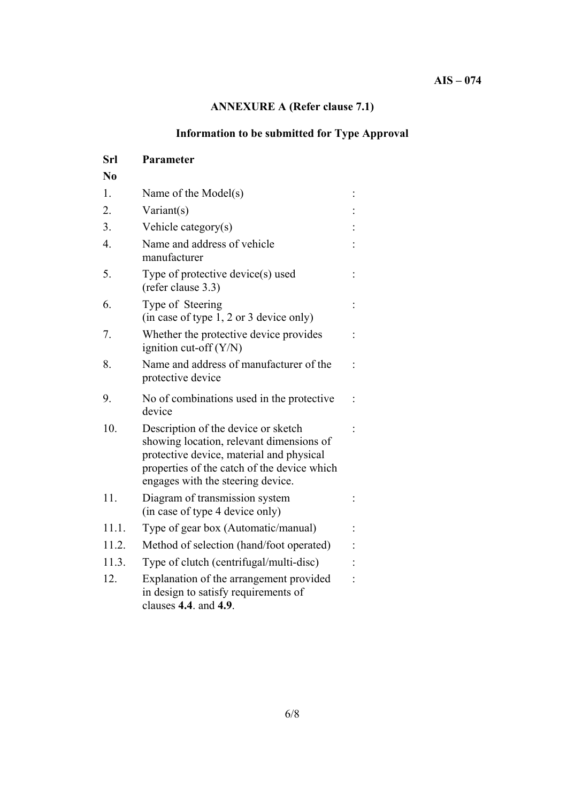# **AIS – 074**

# **ANNEXURE A (Refer clause 7.1)**

# **Information to be submitted for Type Approval**

| Srl              | Parameter                                                                                                                                                                                                       |  |
|------------------|-----------------------------------------------------------------------------------------------------------------------------------------------------------------------------------------------------------------|--|
| No               |                                                                                                                                                                                                                 |  |
| 1.               | Name of the Model(s)                                                                                                                                                                                            |  |
| 2.               | Variant(s)                                                                                                                                                                                                      |  |
| 3.               | Vehicle category(s)                                                                                                                                                                                             |  |
| $\overline{4}$ . | Name and address of vehicle<br>manufacturer                                                                                                                                                                     |  |
| 5.               | Type of protective device(s) used<br>(refer clause 3.3)                                                                                                                                                         |  |
| 6.               | Type of Steering<br>(in case of type 1, 2 or 3 device only)                                                                                                                                                     |  |
| 7.               | Whether the protective device provides<br>ignition cut-off $(Y/N)$                                                                                                                                              |  |
| 8.               | Name and address of manufacturer of the<br>protective device                                                                                                                                                    |  |
| 9.               | No of combinations used in the protective<br>device                                                                                                                                                             |  |
| 10.              | Description of the device or sketch<br>showing location, relevant dimensions of<br>protective device, material and physical<br>properties of the catch of the device which<br>engages with the steering device. |  |
| 11.              | Diagram of transmission system<br>(in case of type 4 device only)                                                                                                                                               |  |
| 11.1.            | Type of gear box (Automatic/manual)                                                                                                                                                                             |  |
| 11.2.            | Method of selection (hand/foot operated)                                                                                                                                                                        |  |
| 11.3.            | Type of clutch (centrifugal/multi-disc)                                                                                                                                                                         |  |
| 12.              | Explanation of the arrangement provided<br>in design to satisfy requirements of<br>clauses 4.4. and 4.9.                                                                                                        |  |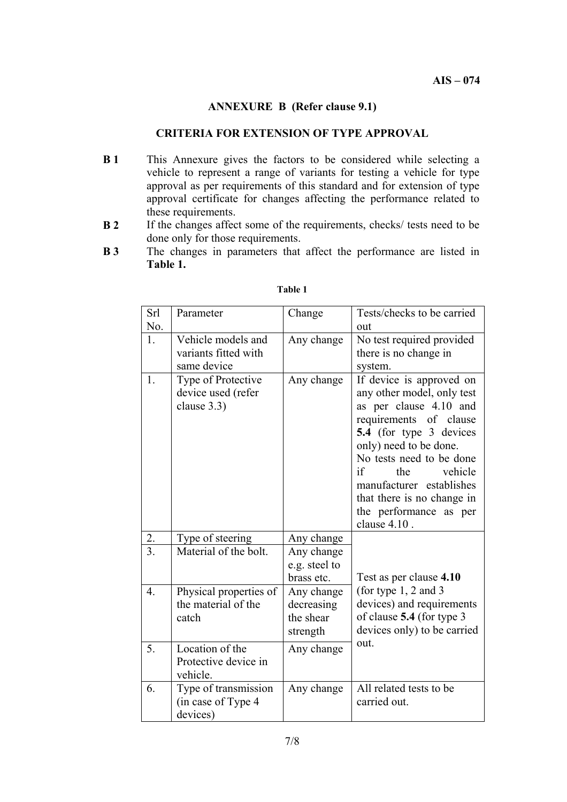## **ANNEXURE B (Refer clause 9.1)**

### **CRITERIA FOR EXTENSION OF TYPE APPROVAL**

- **B 1** This Annexure gives the factors to be considered while selecting a vehicle to represent a range of variants for testing a vehicle for type approval as per requirements of this standard and for extension of type approval certificate for changes affecting the performance related to these requirements.
- **B 2** If the changes affect some of the requirements, checks/ tests need to be done only for those requirements.
- **B 3** The changes in parameters that affect the performance are listed in **Table 1.**

| Srl              | Parameter                                               | Change                                            | Tests/checks to be carried                                                                                                                                                                                                                                                                                              |  |
|------------------|---------------------------------------------------------|---------------------------------------------------|-------------------------------------------------------------------------------------------------------------------------------------------------------------------------------------------------------------------------------------------------------------------------------------------------------------------------|--|
| No.<br>1.        | Vehicle models and                                      | Any change                                        | out<br>No test required provided                                                                                                                                                                                                                                                                                        |  |
|                  | variants fitted with                                    |                                                   | there is no change in                                                                                                                                                                                                                                                                                                   |  |
|                  | same device                                             |                                                   | system.                                                                                                                                                                                                                                                                                                                 |  |
| 1.               | Type of Protective<br>device used (refer<br>clause 3.3) | Any change                                        | If device is approved on<br>any other model, only test<br>as per clause 4.10 and<br>requirements of clause<br>5.4 (for type 3 devices<br>only) need to be done.<br>No tests need to be done<br>vehicle<br>if<br>the<br>manufacturer establishes<br>that there is no change in<br>the performance as per<br>clause 4.10. |  |
| 2.               | Type of steering                                        | Any change                                        |                                                                                                                                                                                                                                                                                                                         |  |
| $\overline{3}$ . | Material of the bolt.                                   | Any change<br>e.g. steel to<br>brass etc.         |                                                                                                                                                                                                                                                                                                                         |  |
| $\overline{4}$ . | Physical properties of<br>the material of the<br>catch  | Any change<br>decreasing<br>the shear<br>strength | Test as per clause 4.10<br>(for type $1, 2$ and 3<br>devices) and requirements<br>of clause 5.4 (for type 3<br>devices only) to be carried                                                                                                                                                                              |  |
| 5.               | Location of the<br>Protective device in<br>vehicle.     | Any change                                        | out.                                                                                                                                                                                                                                                                                                                    |  |
| 6.               | Type of transmission<br>(in case of Type 4<br>devices)  | Any change                                        | All related tests to be<br>carried out.                                                                                                                                                                                                                                                                                 |  |

#### **Table 1**